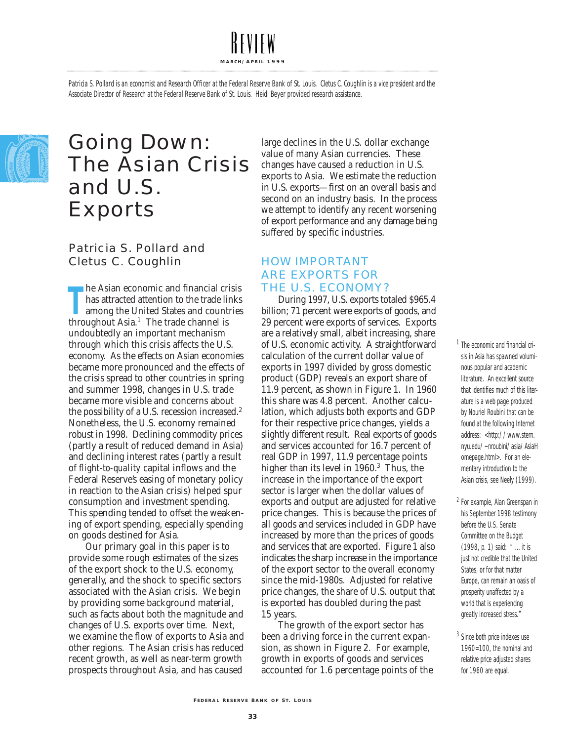Patricia S. Pollard is an economist and Research Officer at the Federal Reserve Bank of St. Louis. Cletus C. Coughlin is a vice president and the Associate Director of Research at the Federal Reserve Bank of St. Louis. Heidi Beyer provided research assistance.



### Going Down: The Asian Crisis and U.S. Exports

#### Patricia S. Pollard and Cletus C. Coughlin

The Asian economic and financial crows that the same of the trade limanong the United States and count throughout Asia.<sup>1</sup> The trade channel is he Asian economic and financial crisis has attracted attention to the trade links among the United States and countries undoubtedly an important mechanism through which this crisis affects the U.S. economy. As the effects on Asian economies became more pronounced and the effects of the crisis spread to other countries in spring and summer 1998, changes in U.S. trade became more visible and concerns about the possibility of a U.S. recession increased. 2 Nonetheless, the U.S. economy remained robust in 1998. Declining commodity prices (partly a result of reduced demand in Asia) and declining interest rates (partly a result of *flight-to-quality* capital inflows and the Federal Reserve's easing of monetary policy in reaction to the Asian crisis) helped spur consumption and investment spending. This spending tended to offset the weakening of export spending, especially spending on goods destined for Asia.

Our primary goal in this paper is to provide some rough estimates of the sizes of the export shock to the U.S. economy, generally, and the shock to specific sectors associated with the Asian crisis. We begin by providing some background material, such as facts about both the magnitude and changes of U.S. exports over time. Next, we examine the flow of exports to Asia and other regions. The Asian crisis has reduced recent growth, as well as near-term growth prospects throughout Asia, and has caused

large declines in the U.S. dollar exchange value of many Asian currencies. These changes have caused a reduction in U.S. exports to Asia. We estimate the reduction in U.S. exports—first on an overall basis and second on an industry basis. In the process we attempt to identify any recent worsening of export performance and any damage being suffered by specific industries.

#### HOW IMPORTANT ARE EXPORTS FOR THE U.S. ECONOMY?

During 1997, U.S. exports totaled \$965.4 billion; 71 percent were exports of goods, and 29 percent were exports of services. Exports are a relatively small, albeit increasing, share of U.S. economic activity. A straightforward calculation of the current dollar value of exports in 1997 divided by gross domestic product (GDP) reveals an export share of 11.9 percent, as shown in Figure 1. In 1960 this share was 4.8 percent. Another calculation, which adjusts both exports and GDP for their respective price changes, yields a slightly different result. Real exports of goods and services accounted for 16.7 percent of real GDP in 1997, 11.9 percentage points higher than its level in 1960.<sup>3</sup> Thus, the increase in the importance of the export sector is larger when the dollar values of exports and output are adjusted for relative price changes. This is because the prices of all goods and services included in GDP have increased by more than the prices of goods and services that are exported. Figure 1 also indicates the sharp increase in the importance of the export sector to the overall economy since the mid-1980s. Adjusted for relative price changes, the share of U.S. output that is exported has doubled during the past 15 years.

The growth of the export sector has been a driving force in the current expansion, as shown in Figure 2. For example, growth in exports of goods and services accounted for 1.6 percentage points of the <sup>1</sup> The economic and financial crisis in Asia has spawned voluminous popular and academic literature. An excellent source that identifies much of this literature is a web page produced by Nouriel Roubini that can be found at the following Internet address: <http://www.stern. nyu.edu/~nroubini/asia/AsiaH omepage.html>. For an elementary introduction to the Asian crisis, see Neely (1999).

- <sup>2</sup> For example, Alan Greenspan in his September 1998 testimony before the U.S. Senate Committee on the Budget (1998, p. 1) said: " ... it is just not credible that the United States, or for that matter Europe, can remain an oasis of prosperity unaffected by a world that is experiencing greatly increased stress."
- <sup>3</sup> Since both price indexes use 1960=100, the nominal and relative price adjusted shares for 1960 are equal.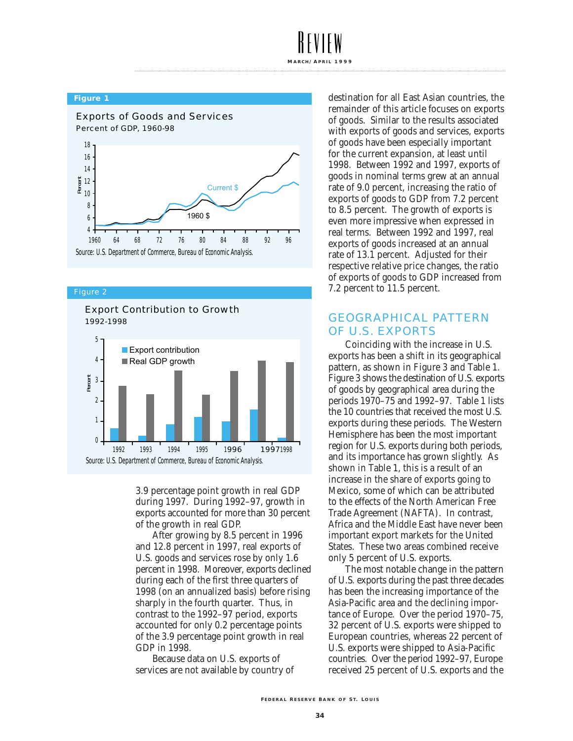#### **Figure 1**



#### Figure 2





3.9 percentage point growth in real GDP during 1997. During 1992–97, growth in exports accounted for more than 30 percent of the growth in real GDP.

After growing by 8.5 percent in 1996 and 12.8 percent in 1997, real exports of U.S. goods and services rose by only 1.6 percent in 1998. Moreover, exports declined during each of the first three quarters of 1998 (on an annualized basis) before rising sharply in the fourth quarter. Thus, in contrast to the 1992–97 period, exports accounted for only 0.2 percentage points of the 3.9 percentage point growth in real GDP in 1998.

Because data on U.S. exports of services are not available by country of destination for all East Asian countries, the remainder of this article focuses on exports of goods. Similar to the results associated with exports of goods and services, exports of goods have been especially important for the current expansion, at least until 1998. Between 1992 and 1997, exports of goods in nominal terms grew at an annual rate of 9.0 percent, increasing the ratio of exports of goods to GDP from 7.2 percent to 8.5 percent. The growth of exports is even more impressive when expressed in real terms. Between 1992 and 1997, real exports of goods increased at an annual rate of 13.1 percent. Adjusted for their respective relative price changes, the ratio of exports of goods to GDP increased from 7.2 percent to 11.5 percent.

#### GEOGRAPHICAL PATTERN OF U.S. EXPORTS

Coinciding with the increase in U.S. exports has been a shift in its geographical pattern, as shown in Figure 3 and Table 1. Figure 3 shows the destination of U.S. exports of goods by geographical area during the periods 1970–75 and 1992–97. Table 1 lists the 10 countries that received the most U.S. exports during these periods. The Western Hemisphere has been the most important region for U.S. exports during both periods, and its importance has grown slightly. As shown in Table 1, this is a result of an increase in the share of exports going to Mexico, some of which can be attributed to the effects of the North American Free Trade Agreement (NAFTA). In contrast, Africa and the Middle East have never been important export markets for the United States. These two areas combined receive only 5 percent of U.S. exports.

The most notable change in the pattern of U.S. exports during the past three decades has been the increasing importance of the Asia-Pacific area and the declining importance of Europe. Over the period 1970–75, 32 percent of U.S. exports were shipped to European countries, whereas 22 percent of U.S. exports were shipped to Asia-Pacific countries. Over the period 1992–97, Europe received 25 percent of U.S. exports and the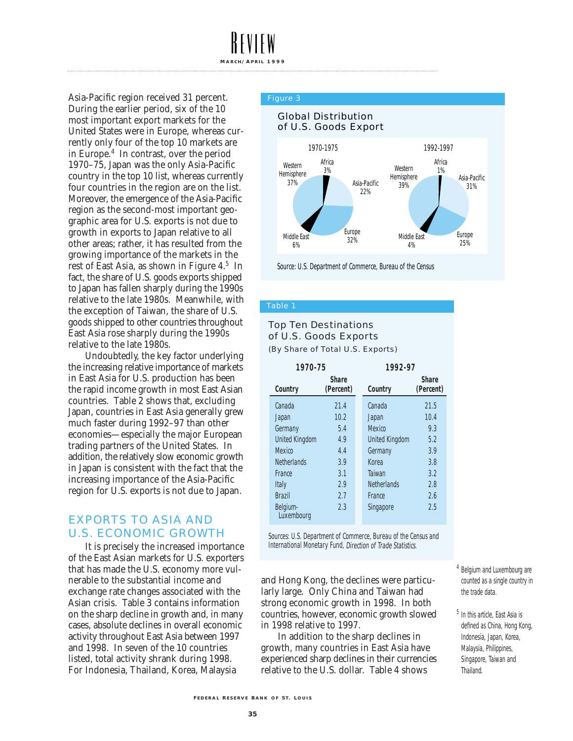Asia-Pacific region received 31 percent. During the earlier period, six of the 10 most important export markets for the United States were in Europe, whereas currently only four of the top 10 markets are in Europe.4 In contrast, over the period 1970–75, Japan was the only Asia-Pacific country in the top 10 list, whereas currently four countries in the region are on the list. Moreover, the emergence of the Asia-Pacific region as the second-most important geographic area for U.S. exports is not due to growth in exports to Japan relative to all other areas; rather, it has resulted from the growing importance of the markets in the rest of East Asia, as shown in Figure 4.5 In fact, the share of U.S. goods exports shipped to Japan has fallen sharply during the 1990s relative to the late 1980s. Meanwhile, with the exception of Taiwan, the share of U.S. goods shipped to other countries throughout East Asia rose sharply during the 1990s relative to the late 1980s.

Undoubtedly, the key factor underlying the increasing relative importance of markets in East Asia for U.S. production has been the rapid income growth in most East Asian countries. Table 2 shows that, excluding Japan, countries in East Asia generally grew much faster during 1992–97 than other economies—especially the major European trading partners of the United States. In addition, the relatively slow economic growth in Japan is consistent with the fact that the increasing importance of the Asia-Pacific region for U.S. exports is not due to Japan.

#### EXPORTS TO ASIA AND U.S. ECONOMIC GROWTH

It is precisely the increased importance of the East Asian markets for U.S. exporters that has made the U.S. economy more vulnerable to the substantial income and exchange rate changes associated with the Asian crisis. Table 3 contains information on the sharp decline in growth and, in many cases, absolute declines in overall economic activity throughout East Asia between 1997 and 1998. In seven of the 10 countries listed, total activity shrank during 1998. For Indonesia, Thailand, Korea, Malaysia

#### Figure 3



Source: U.S. Department of Commerce, Bureau of the Census

#### Table 1

### Top Ten Destinations of U.S. Goods Exports

(By Share of Total U.S. Exports)

| 1970-75                              |      |  | 1992-97               |                           |  |  |  |
|--------------------------------------|------|--|-----------------------|---------------------------|--|--|--|
| <b>Share</b><br>(Percent)<br>Country |      |  | Country               | <b>Share</b><br>(Percent) |  |  |  |
| Canada                               | 21.4 |  | Canada                | 21.5                      |  |  |  |
| Japan                                | 10.2 |  | Japan                 | 10.4                      |  |  |  |
| Germany                              | 5.4  |  | <b>Mexico</b>         | 9.3                       |  |  |  |
| <b>United Kingdom</b>                | 4.9  |  | <b>United Kingdom</b> | 5.2                       |  |  |  |
| <b>Mexico</b>                        | 4.4  |  | Germany               | 3.9                       |  |  |  |
| <b>Netherlands</b>                   | 3.9  |  | Korea                 | 3.8                       |  |  |  |
| France                               | 3.1  |  | Taiwan                | 3.2                       |  |  |  |
| Italy                                | 2.9  |  | <b>Netherlands</b>    | 2.8                       |  |  |  |
| <b>Brazil</b>                        | 2.7  |  | France                | 2.6                       |  |  |  |
| Belgium-<br>Luxembourg               | 2.3  |  | Singapore             | 2.5                       |  |  |  |

Sources: U.S. Department of Commerce, Bureau of the Census and International Monetary Fund, Direction of Trade Statistics.

and Hong Kong, the declines were particularly large. Only China and Taiwan had strong economic growth in 1998. In both countries, however, economic growth slowed in 1998 relative to 1997.

In addition to the sharp declines in growth, many countries in East Asia have experienced sharp declines in their currencies relative to the U.S. dollar. Table 4 shows

<sup>4</sup> Belgium and Luxembourg are counted as a single country in the trade data.

<sup>5</sup> In this article, East Asia is defined as China, Hong Kong, Indonesia, Japan, Korea, Malaysia, Philippines, Singapore, Taiwan and Thailand.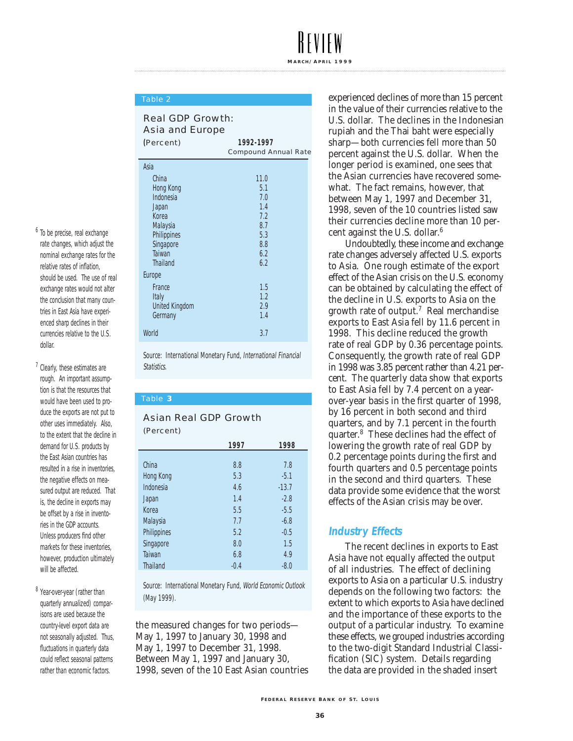#### Table 2

#### Real GDP Growth: Asia and Europe

| (Percent) |                       | 1992-1997                   |
|-----------|-----------------------|-----------------------------|
|           |                       | <b>Compound Annual Rate</b> |
|           | Asia                  |                             |
|           | China                 | 11.0                        |
|           | <b>Hong Kong</b>      | 5.1                         |
|           | Indonesia             | 7.0                         |
|           | Japan                 | 1.4                         |
|           | Korea                 | 7.2                         |
|           | Malaysia              | 8.7                         |
|           | Philippines           | 5.3                         |
|           | Singapore             | 8.8                         |
|           | <b>Taiwan</b>         | 6.2                         |
|           | <b>Thailand</b>       | 6.2                         |
|           | Europe                |                             |
|           | France                | 1.5                         |
|           | Italy                 | 1.2                         |
|           | <b>United Kingdom</b> | 2.9                         |
|           | Germany               | 1.4                         |
|           | World                 | 3.7                         |

Source: International Monetary Fund, International Financial Statistics.

Table **3**

#### Asian Real GDP Growth (Percent)

|                    | 1997   | 1998    |
|--------------------|--------|---------|
|                    |        |         |
| China              | 8.8    | 7.8     |
| <b>Hong Kong</b>   | 5.3    | $-5.1$  |
| Indonesia          | 4.6    | $-13.7$ |
| Japan              | 1.4    | $-2.8$  |
| Korea              | 5.5    | $-5.5$  |
| <b>Malaysia</b>    | 7.7    | $-6.8$  |
| <b>Philippines</b> | 5.2    | $-0.5$  |
| Singapore          | 8.0    | 1.5     |
| Taiwan             | 6.8    | 4.9     |
| <b>Thailand</b>    | $-0.4$ | $-8.0$  |

Source: International Monetary Fund, World Economic Outlook (May 1999).

the measured changes for two periods— May 1, 1997 to January 30, 1998 and May 1, 1997 to December 31, 1998. Between May 1, 1997 and January 30, 1998, seven of the 10 East Asian countries experienced declines of more than 15 percent in the value of their currencies relative to the U.S. dollar. The declines in the Indonesian rupiah and the Thai baht were especially sharp—both currencies fell more than 50 percent against the U.S. dollar. When the longer period is examined, one sees that the Asian currencies have recovered somewhat. The fact remains, however, that between May 1, 1997 and December 31, 1998, seven of the 10 countries listed saw their currencies decline more than 10 percent against the U.S. dollar. 6

Undoubtedly, these income and exchange rate changes adversely affected U.S. exports to Asia. One rough estimate of the export effect of the Asian crisis on the U.S. economy can be obtained by calculating the effect of the decline in U.S. exports to Asia on the growth rate of output. <sup>7</sup> Real merchandise exports to East Asia fell by 11.6 percent in 1998. This decline reduced the growth rate of real GDP by 0.36 percentage points. Consequently, the growth rate of real GDP in 1998 was 3.85 percent rather than 4.21 percent. The quarterly data show that exports to East Asia fell by 7.4 percent on a yearover-year basis in the first quarter of 1998, by 16 percent in both second and third quarters, and by 7.1 percent in the fourth quarter. <sup>8</sup> These declines had the effect of lowering the growth rate of real GDP by 0.2 percentage points during the first and fourth quarters and 0.5 percentage points in the second and third quarters. These data provide some evidence that the worst effects of the Asian crisis may be over.

#### **Industry Effects**

The recent declines in exports to East Asia have not equally affected the output of all industries. The effect of declining exports to Asia on a particular U.S. industry depends on the following two factors: the extent to which exports to Asia have declined and the importance of these exports to the output of a particular industry. To examine these effects, we grouped industries according to the two-digit Standard Industrial Classification (SIC) system. Details regarding the data are provided in the shaded insert

#### <sup>6</sup> To be precise, real exchange rate changes, which adjust the nominal exchange rates for the relative rates of inflation, should be used. The use of real exchange rates would not alter the conclusion that many countries in East Asia have experienced sharp declines in their currencies relative to the U.S. dollar.

<sup>7</sup> Clearly, these estimates are rough. An important assumption is that the resources that would have been used to produce the exports are not put to other uses immediately. Also, to the extent that the decline in demand for U.S. products by the East Asian countries has resulted in a rise in inventories, the negative effects on measured output are reduced. That is, the decline in exports may be offset by a rise in inventories in the GDP accounts. Unless producers find other markets for these inventories, however, production ultimately will be affected.

8 Year-over-year (rather than quarterly annualized) comparisons are used because the country-level export data are not seasonally adjusted. Thus, fluctuations in quarterly data could reflect seasonal patterns rather than economic factors.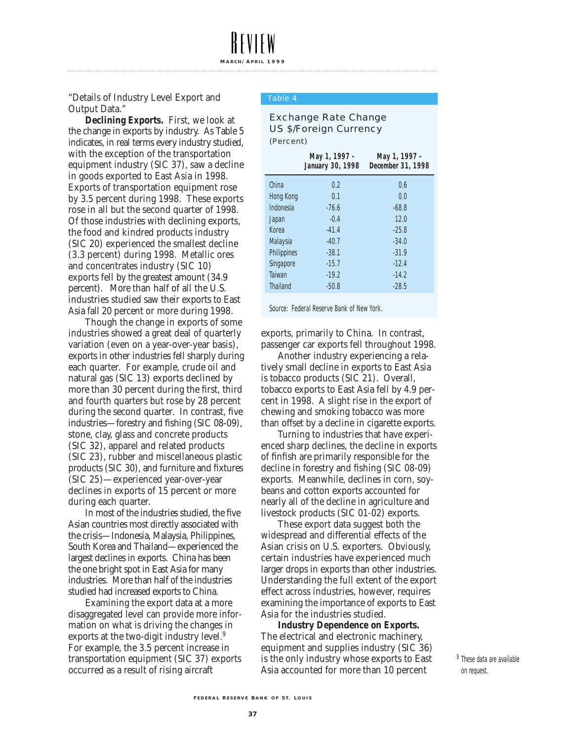"Details of Industry Level Export and Output Data."

**Declining Exports.** First, we look at the change in exports by industry. As Table 5 indicates, in real terms every industry studied, with the exception of the transportation equipment industry (SIC 37), saw a decline in goods exported to East Asia in 1998. Exports of transportation equipment rose by 3.5 percent during 1998. These exports rose in all but the second quarter of 1998. Of those industries with declining exports, the food and kindred products industry (SIC 20) experienced the smallest decline (3.3 percent) during 1998. Metallic ores and concentrates industry (SIC 10) exports fell by the greatest amount (34.9 percent). More than half of all the U.S. industries studied saw their exports to East Asia fall 20 percent or more during 1998.

Though the change in exports of some industries showed a great deal of quarterly variation (even on a year-over-year basis), exports in other industries fell sharply during each quarter. For example, crude oil and natural gas (SIC 13) exports declined by more than 30 percent during the first, third and fourth quarters but rose by 28 percent during the second quarter. In contrast, five industries—forestry and fishing (SIC 08-09), stone, clay, glass and concrete products (SIC 32), apparel and related products (SIC 23), rubber and miscellaneous plastic products (SIC 30), and furniture and fixtures (SIC 25)—experienced year-over-year declines in exports of 15 percent or more during each quarter.

In most of the industries studied, the five Asian countries most directly associated with the crisis—Indonesia, Malaysia, Philippines, South Korea and Thailand—experienced the largest declines in exports. China has been the one bright spot in East Asia for many industries. More than half of the industries studied had increased exports to China.

Examining the export data at a more disaggregated level can provide more information on what is driving the changes in exports at the two-digit industry level. 9 For example, the 3.5 percent increase in transportation equipment (SIC 37) exports occurred as a result of rising aircraft

#### Table 4

**MARC H / A PRIL 1999**

#### Exchange Rate Change US \$/Foreign Currency (Percent)

|                    | May 1, 1997 -<br><b>January 30, 1998</b> | May 1, 1997 -<br>December 31, 1998 |
|--------------------|------------------------------------------|------------------------------------|
| China              | 0.2                                      | 0.6                                |
| Hong Kong          | 0.1                                      | 0.0                                |
| Indonesia          | $-76.6$                                  | $-68.8$                            |
| Japan              | $-0.4$                                   | 12.0                               |
| Korea              | $-41.4$                                  | $-25.8$                            |
| <b>Malaysia</b>    | $-40.7$                                  | $-34.0$                            |
| <b>Philippines</b> | $-38.1$                                  | $-31.9$                            |
| Singapore          | $-15.7$                                  | $-12.4$                            |
| <b>Taiwan</b>      | $-19.2$                                  | $-14.2$                            |
| <b>Thailand</b>    | $-50.8$                                  | $-28.5$                            |
|                    |                                          |                                    |

Source: Federal Reserve Bank of New York.

exports, primarily to China. In contrast, passenger car exports fell throughout 1998.

Another industry experiencing a relatively small decline in exports to East Asia is tobacco products (SIC 21). Overall, tobacco exports to East Asia fell by 4.9 percent in 1998. A slight rise in the export of chewing and smoking tobacco was more than offset by a decline in cigarette exports.

Turning to industries that have experienced sharp declines, the decline in exports of finfish are primarily responsible for the decline in forestry and fishing (SIC 08-09) exports. Meanwhile, declines in corn, soybeans and cotton exports accounted for nearly all of the decline in agriculture and livestock products (SIC 01-02) exports.

These export data suggest both the widespread and differential effects of the Asian crisis on U.S. exporters. Obviously, certain industries have experienced much larger drops in exports than other industries. Understanding the full extent of the export effect across industries, however, requires examining the importance of exports to East Asia for the industries studied.

**Industry Dependence on Exports.** The electrical and electronic machinery, equipment and supplies industry (SIC 36) is the only industry whose exports to East Asia accounted for more than 10 percent

<sup>9</sup> These data are available on request.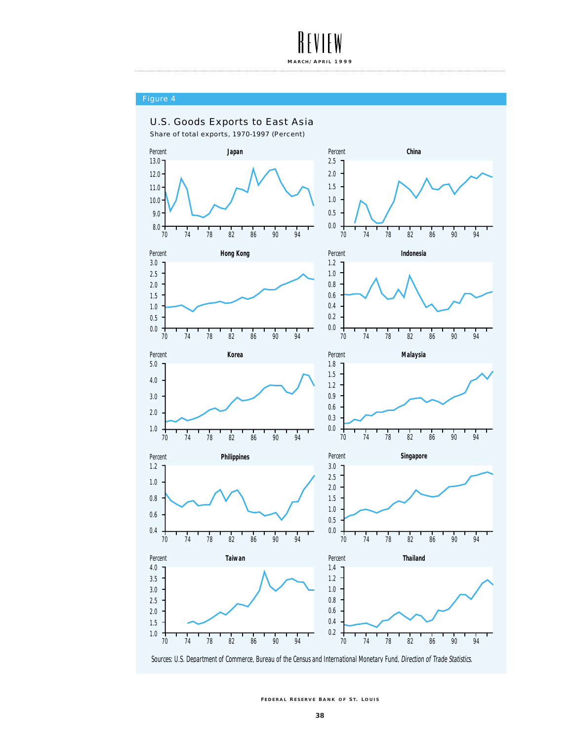

#### Figure 4



**F EDERAL R ESE R V E B ANK O F S T. L OUIS**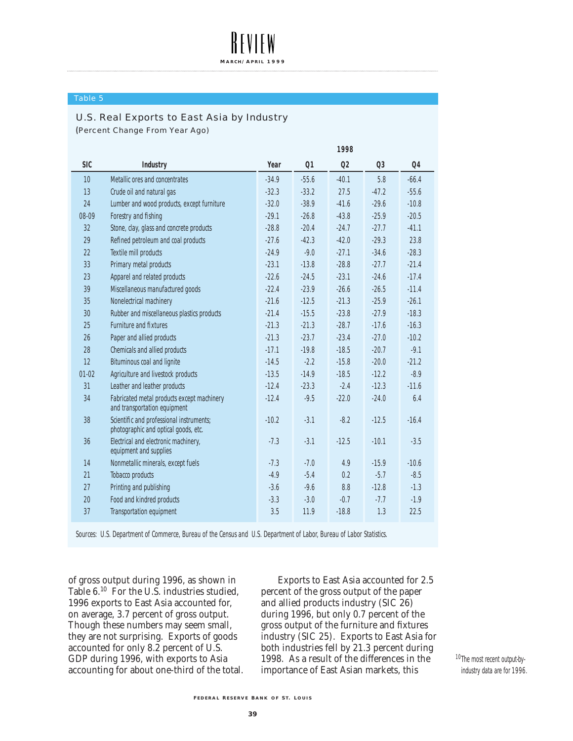#### Table 5

#### U.S. Real Exports to East Asia by Industry

**(**Percent Change From Year Ago)

|            |                                                                                  | 1998    |         |         |                |         |
|------------|----------------------------------------------------------------------------------|---------|---------|---------|----------------|---------|
| <b>SIC</b> | <b>Industry</b>                                                                  | Year    | Q1      | Q2      | Q <sub>3</sub> | Q4      |
| 10         | Metallic ores and concentrates                                                   | $-34.9$ | $-55.6$ | $-40.1$ | 5.8            | $-66.4$ |
| 13         | Crude oil and natural gas                                                        | $-32.3$ | $-33.2$ | 27.5    | $-47.2$        | $-55.6$ |
| 24         | Lumber and wood products, except furniture                                       | $-32.0$ | $-38.9$ | $-41.6$ | $-29.6$        | $-10.8$ |
| 08-09      | Forestry and fishing                                                             | $-29.1$ | $-26.8$ | $-43.8$ | $-25.9$        | $-20.5$ |
| 32         | Stone, clay, glass and concrete products                                         | $-28.8$ | $-20.4$ | $-24.7$ | $-27.7$        | $-41.1$ |
| 29         | Refined petroleum and coal products                                              | $-27.6$ | $-42.3$ | $-42.0$ | $-29.3$        | 23.8    |
| 22         | <b>Textile mill products</b>                                                     | $-24.9$ | $-9.0$  | $-27.1$ | $-34.6$        | $-28.3$ |
| 33         | Primary metal products                                                           | $-23.1$ | $-13.8$ | $-28.8$ | $-27.7$        | $-21.4$ |
| 23         | Apparel and related products                                                     | $-22.6$ | $-24.5$ | $-23.1$ | $-24.6$        | $-17.4$ |
| 39         | Miscellaneous manufactured goods                                                 | $-22.4$ | $-23.9$ | $-26.6$ | $-26.5$        | $-11.4$ |
| 35         | Nonelectrical machinery                                                          | $-21.6$ | $-12.5$ | $-21.3$ | $-25.9$        | $-26.1$ |
| 30         | Rubber and miscellaneous plastics products                                       | $-21.4$ | $-15.5$ | $-23.8$ | $-27.9$        | $-18.3$ |
| 25         | <b>Furniture and fixtures</b>                                                    | $-21.3$ | $-21.3$ | $-28.7$ | $-17.6$        | $-16.3$ |
| 26         | Paper and allied products                                                        | $-21.3$ | $-23.7$ | $-23.4$ | $-27.0$        | $-10.2$ |
| 28         | Chemicals and allied products                                                    | $-17.1$ | $-19.8$ | $-18.5$ | $-20.7$        | $-9.1$  |
| 12         | <b>Bituminous coal and lignite</b>                                               | $-14.5$ | $-2.2$  | $-15.8$ | $-20.0$        | $-21.2$ |
| $01 - 02$  | Agriculture and livestock products                                               | $-13.5$ | $-14.9$ | $-18.5$ | $-12.2$        | $-8.9$  |
| 31         | Leather and leather products                                                     | $-12.4$ | $-23.3$ | $-2.4$  | $-12.3$        | $-11.6$ |
| 34         | Fabricated metal products except machinery<br>and transportation equipment       | $-12.4$ | $-9.5$  | $-22.0$ | $-24.0$        | 6.4     |
| 38         | Scientific and professional instruments;<br>photographic and optical goods, etc. | $-10.2$ | $-3.1$  | $-8.2$  | $-12.5$        | $-16.4$ |
| 36         | Electrical and electronic machinery,<br>equipment and supplies                   | $-7.3$  | $-3.1$  | $-12.5$ | $-10.1$        | $-3.5$  |
| 14         | Nonmetallic minerals, except fuels                                               | $-7.3$  | $-7.0$  | 4.9     | $-15.9$        | $-10.6$ |
| 21         | <b>Tobacco products</b>                                                          | $-4.9$  | $-5.4$  | 0.2     | $-5.7$         | $-8.5$  |
| 27         | Printing and publishing                                                          | $-3.6$  | $-9.6$  | 8.8     | $-12.8$        | $-1.3$  |
| 20         | Food and kindred products                                                        | $-3.3$  | $-3.0$  | $-0.7$  | $-7.7$         | $-1.9$  |
| 37         | <b>Transportation equipment</b>                                                  | 3.5     | 11.9    | $-18.8$ | 1.3            | 22.5    |
|            |                                                                                  |         |         |         |                |         |

Sources: U.S. Department of Commerce, Bureau of the Census and U.S. Department of Labor, Bureau of Labor Statistics.

of gross output during 1996, as shown in Table 6. <sup>10</sup> For the U.S. industries studied, 1996 exports to East Asia accounted for, on average, 3.7 percent of gross output. Though these numbers may seem small, they are not surprising. Exports of goods accounted for only 8.2 percent of U.S. GDP during 1996, with exports to Asia accounting for about one-third of the total.

Exports to East Asia accounted for 2.5 percent of the gross output of the paper and allied products industry (SIC 26) during 1996, but only 0.7 percent of the gross output of the furniture and fixtures industry (SIC 25). Exports to East Asia for both industries fell by 21.3 percent during 1998. As a result of the differences in the importance of East Asian markets, this

10The most recent output-byindustry data are for 1996.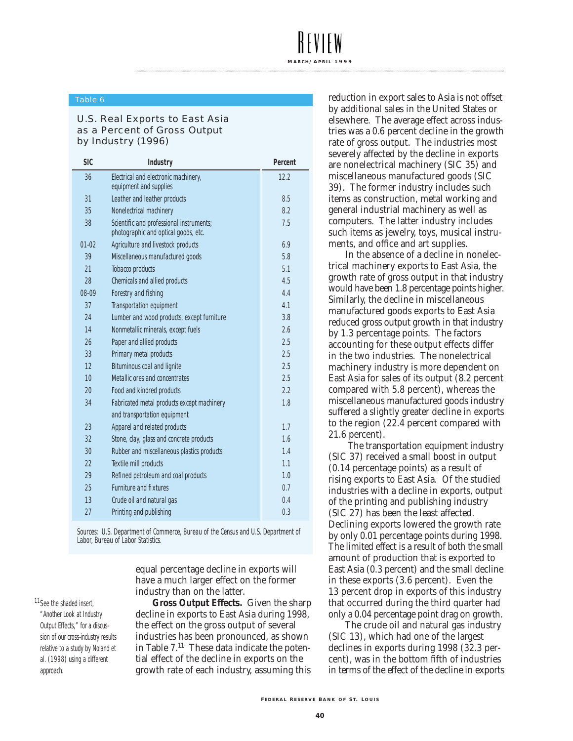#### Table 6

#### U.S. Real Exports to East Asia as a Percent of Gross Output by Industry (1996)

| <b>SIC</b> | <b>Industry</b>                                                                  | Percent |
|------------|----------------------------------------------------------------------------------|---------|
| 36         | Electrical and electronic machinery,<br>equipment and supplies                   | 12.2    |
| 31         | Leather and leather products                                                     | 8.5     |
| 35         | Nonelectrical machinery                                                          | 8.2     |
| 38         | Scientific and professional instruments;<br>photographic and optical goods, etc. | 7.5     |
| $01-02$    | Agriculture and livestock products                                               | 6.9     |
| 39         | Miscellaneous manufactured goods                                                 | 5.8     |
| 21         | <b>Tobacco products</b>                                                          | 5.1     |
| 28         | <b>Chemicals and allied products</b>                                             | 4.5     |
| 08-09      | Forestry and fishing                                                             | 4.4     |
| 37         | <b>Transportation equipment</b>                                                  | 4.1     |
| 24         | Lumber and wood products, except furniture                                       | 3.8     |
| 14         | Nonmetallic minerals, except fuels                                               | 2.6     |
| 26         | Paper and allied products                                                        | 2.5     |
| 33         | Primary metal products                                                           | 2.5     |
| 12         | <b>Bituminous coal and lignite</b>                                               | 2.5     |
| 10         | Metallic ores and concentrates                                                   | 2.5     |
| 20         | Food and kindred products                                                        | 2.2     |
| 34         | Fabricated metal products except machinery                                       | 1.8     |
|            | and transportation equipment                                                     |         |
| 23         | Apparel and related products                                                     | 1.7     |
| 32         | Stone, clay, glass and concrete products                                         | 1.6     |
| 30         | Rubber and miscellaneous plastics products                                       | 1.4     |
| 22         | <b>Textile mill products</b>                                                     | 1.1     |
| 29         | Refined petroleum and coal products                                              | 1.0     |
| 25         | <b>Furniture and fixtures</b>                                                    | 0.7     |
| 13         | Crude oil and natural gas                                                        | 0.4     |
| 27         | Printing and publishing                                                          | 0.3     |

Sources: U.S. Department of Commerce, Bureau of the Census and U.S. Department of Labor, Bureau of Labor Statistics.

> equal percentage decline in exports will have a much larger effect on the former industry than on the latter.

11 See the shaded insert, "Another Look at Industry Output Effects," for a discussion of our cross-industry results relative to a study by Noland et al. (1998) using a different approach.

**Gross Output Effects.** Given the sharp decline in exports to East Asia during 1998, the effect on the gross output of several industries has been pronounced, as shown in Table 7. <sup>11</sup> These data indicate the potential effect of the decline in exports on the growth rate of each industry, assuming this

reduction in export sales to Asia is not offset by additional sales in the United States or elsewhere. The average effect across industries was a 0.6 percent decline in the growth rate of gross output. The industries most severely affected by the decline in exports are nonelectrical machinery (SIC 35) and miscellaneous manufactured goods (SIC 39). The former industry includes such items as construction, metal working and general industrial machinery as well as computers. The latter industry includes such items as jewelry, toys, musical instruments, and office and art supplies.

In the absence of a decline in nonelectrical machinery exports to East Asia, the growth rate of gross output in that industry would have been 1.8 percentage points higher. Similarly, the decline in miscellaneous manufactured goods exports to East Asia reduced gross output growth in that industry by 1.3 percentage points. The factors accounting for these output effects differ in the two industries. The nonelectrical machinery industry is more dependent on East Asia for sales of its output (8.2 percent compared with 5.8 percent), whereas the miscellaneous manufactured goods industry suffered a slightly greater decline in exports to the region (22.4 percent compared with 21.6 percent).

The transportation equipment industry (SIC 37) received a small boost in output (0.14 percentage points) as a result of rising exports to East Asia. Of the studied industries with a decline in exports, output of the printing and publishing industry (SIC 27) has been the least affected. Declining exports lowered the growth rate by only 0.01 percentage points during 1998. The limited effect is a result of both the small amount of production that is exported to East Asia (0.3 percent) and the small decline in these exports (3.6 percent). Even the 13 percent drop in exports of this industry that occurred during the third quarter had only a 0.04 percentage point drag on growth.

The crude oil and natural gas industry (SIC 13), which had one of the largest declines in exports during 1998 (32.3 percent), was in the bottom fifth of industries in terms of the effect of the decline in exports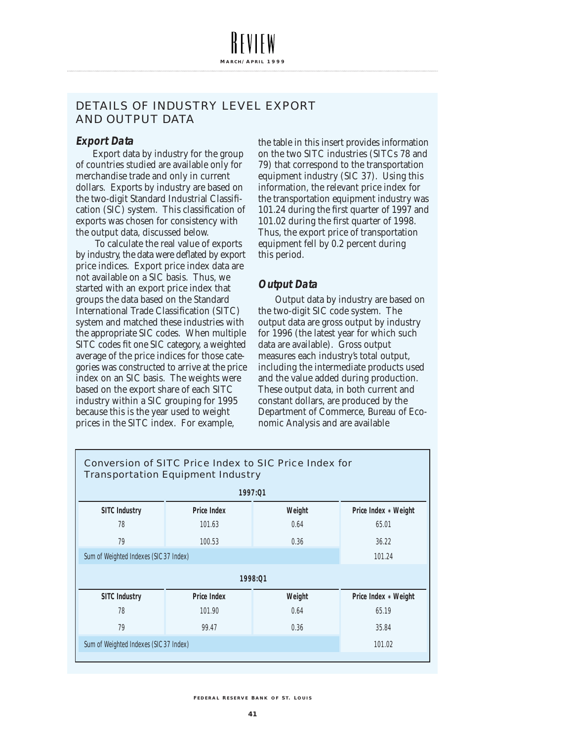#### **Export Data**

Export data by industry for the group of countries studied are available only for merchandise trade and only in current dollars. Exports by industry are based on the two-digit Standard Industrial Classification (SIC) system. This classification of exports was chosen for consistency with the output data, discussed below.

To calculate the real value of exports by industry, the data were deflated by export price indices. Export price index data are not available on a SIC basis. Thus, we started with an export price index that groups the data based on the Standard International Trade Classification (SITC) system and matched these industries with the appropriate SIC codes. When multiple SITC codes fit one SIC category, a weighted average of the price indices for those categories was constructed to arrive at the price index on an SIC basis. The weights were based on the export share of each SITC industry within a SIC grouping for 1995 because this is the year used to weight prices in the SITC index. For example,

the table in this insert provides information on the two SITC industries (SITCs 78 and 79) that correspond to the transportation equipment industry (SIC 37). Using this information, the relevant price index for the transportation equipment industry was 101.24 during the first quarter of 1997 and 101.02 during the first quarter of 1998. Thus, the export price of transportation equipment fell by 0.2 percent during this period.

#### **Output Data**

Output data by industry are based on the two-digit SIC code system. The output data are gross output by industry for 1996 (the latest year for which such data are available). Gross output measures each industry's total output, including the intermediate products used and the value added during production. These output data, in both current and constant dollars, are produced by the Department of Commerce, Bureau of Economic Analysis and are available

| <b>Conversion of SITC Price Index to SIC Price Index for</b><br><b>Transportation Equipment Industry</b> |                    |        |                      |  |  |  |
|----------------------------------------------------------------------------------------------------------|--------------------|--------|----------------------|--|--|--|
| 1997:01                                                                                                  |                    |        |                      |  |  |  |
| <b>SITC Industry</b>                                                                                     | <b>Price Index</b> | Weight | Price Index * Weight |  |  |  |
| 78                                                                                                       | 101.63             | 0.64   | 65.01                |  |  |  |
| 79                                                                                                       | 100.53             | 0.36   | 36.22                |  |  |  |
| Sum of Weighted Indexes (SIC 37 Index)                                                                   | 101.24             |        |                      |  |  |  |
| 1998:01                                                                                                  |                    |        |                      |  |  |  |
| <b>SITC Industry</b>                                                                                     | <b>Price Index</b> | Weight | Price Index * Weight |  |  |  |
| 78                                                                                                       | 101.90             | 0.64   | 65.19                |  |  |  |
| 79                                                                                                       | 99.47              | 0.36   | 35.84                |  |  |  |
| Sum of Weighted Indexes (SIC 37 Index)                                                                   | 101.02             |        |                      |  |  |  |
|                                                                                                          |                    |        |                      |  |  |  |

**F EDERAL R ESE R V E B ANK O F S T. L OUIS**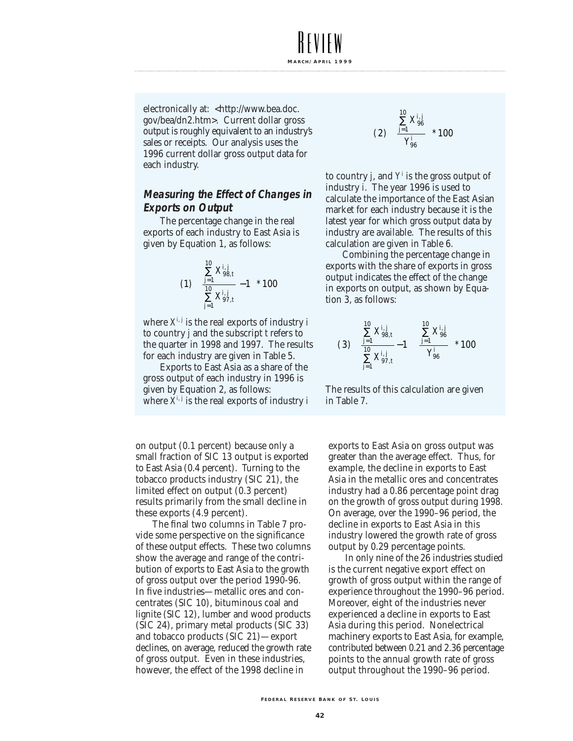electronically at: <http://www.bea.doc. gov/bea/dn2.htm>. Current dollar gross output is roughly equivalent to an industry's sales or receipts. Our analysis uses the 1996 current dollar gross output data for each industry.

**MARCH / A PRIL 1999**

#### **Measuring the Effect of Changes in Exports on Output**

The percentage change in the real exports of each industry to East Asia is given by Equation 1, as follows:

$$
(1)\begin{pmatrix} \sum\limits_{j=1}^{10} X_{98,t}^{i,j} \\ \frac{10}{10} X_{97,t}^{i,j} \\ \sum\limits_{j=1}^{10} X_{97,t}^{i,j} \end{pmatrix} * 100
$$

where  $X^{i,j}$  is the real exports of industry *i* to country *j* and the subscript *t* refers to the quarter in 1998 and 1997. The results for each industry are given in Table 5.

Exports to East Asia as a share of the gross output of each industry in 1996 is given by Equation 2, as follows: where  $X^{i,j}$  is the real exports of industry *i* 

on output (0.1 percent) because only a small fraction of SIC 13 output is exported to East Asia (0.4 percent). Turning to the tobacco products industry (SIC 21), the limited effect on output (0.3 percent) results primarily from the small decline in these exports (4.9 percent).

The final two columns in Table 7 provide some perspective on the significance of these output effects. These two columns show the average and range of the contribution of exports to East Asia to the growth of gross output over the period 1990-96. In five industries—metallic ores and concentrates (SIC 10), bituminous coal and lignite (SIC 12), lumber and wood products (SIC 24), primary metal products (SIC 33) and tobacco products (SIC 21)—export declines, on average, reduced the growth rate of gross output. Even in these industries, however, the effect of the 1998 decline in

$$
(2)\left(\frac{\sum\limits_{j=1}^{10}X_{96}^{i,j}}{Y_{96}^{i}}\right)*100
$$

to country *j*, and *Y<sup>i</sup>* is the gross output of industry *i*. The year 1996 is used to calculate the importance of the East Asian market for each industry because it is the latest year for which gross output data by industry are available. The results of this calculation are given in Table 6.

Combining the percentage change in exports with the share of exports in gross output indicates the effect of the change in exports on output, as shown by Equation 3, as follows:

$$
(3)\begin{pmatrix} \sum\limits_{j=1}^{10} X^{i,j}_{98,t} \\ \sum\limits_{j=1}^{10} X^{i,j}_{97,t} - 1 \end{pmatrix} \begin{pmatrix} \sum\limits_{j=1}^{10} X^{i,j}_{96} \\ \frac{j=1}{Y^{i}_{96}} \end{pmatrix} * 100
$$

The results of this calculation are given in Table 7.

exports to East Asia on gross output was greater than the average effect. Thus, for example, the decline in exports to East Asia in the metallic ores and concentrates industry had a 0.86 percentage point drag on the growth of gross output during 1998. On average, over the 1990–96 period, the decline in exports to East Asia in this industry lowered the growth rate of gross output by 0.29 percentage points.

In only nine of the 26 industries studied is the current negative export effect on growth of gross output within the range of experience throughout the 1990–96 period. Moreover, eight of the industries never experienced a decline in exports to East Asia during this period. Nonelectrical machinery exports to East Asia, for example, contributed between 0.21 and 2.36 percentage points to the annual growth rate of gross output throughout the 1990–96 period.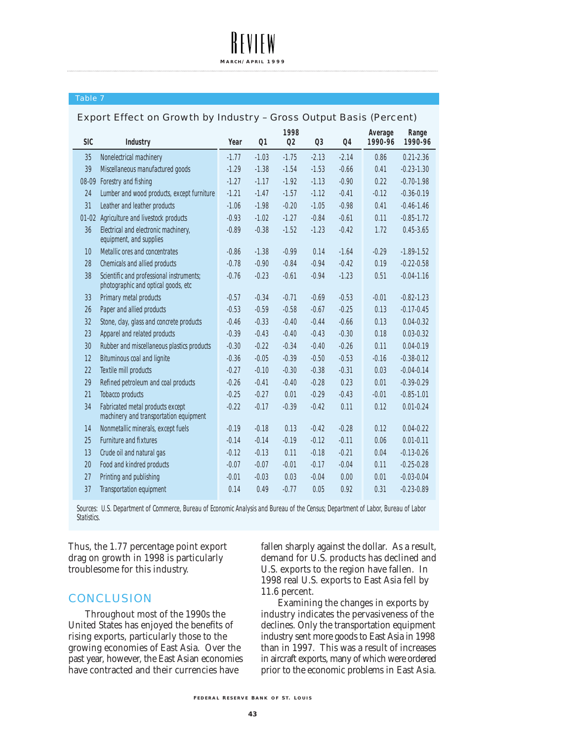#### Table 7

#### Export Effect on Growth by Industry – Gross Output Basis (Percent)

**MARC H / A PRIL 1999**

| <b>SIC</b> | <b>Industry</b>                                                                 | Year    | Q <sub>1</sub> | 1998<br>Q <sub>2</sub> | Q <sub>3</sub> | <b>Q4</b> | Average<br>1990-96 | Range<br>1990-96 |
|------------|---------------------------------------------------------------------------------|---------|----------------|------------------------|----------------|-----------|--------------------|------------------|
| 35         | Nonelectrical machinery                                                         | $-1.77$ | $-1.03$        | $-1.75$                | $-2.13$        | $-2.14$   | 0.86               | $0.21 - 2.36$    |
| 39         | Miscellaneous manufactured goods                                                | $-1.29$ | $-1.38$        | $-1.54$                | $-1.53$        | $-0.66$   | 0.41               | $-0.23 - 1.30$   |
| 08-09      | Forestry and fishing                                                            | $-1.27$ | $-1.17$        | $-1.92$                | $-1.13$        | $-0.90$   | 0.22               | $-0.70 - 1.98$   |
| 24         | Lumber and wood products, except furniture                                      | $-1.21$ | $-1.47$        | $-1.57$                | $-1.12$        | $-0.41$   | $-0.12$            | $-0.36 - 0.19$   |
| 31         | Leather and leather products                                                    | $-1.06$ | $-1.98$        | $-0.20$                | $-1.05$        | $-0.98$   | 0.41               | $-0.46 - 1.46$   |
|            | 01-02 Agriculture and livestock products                                        | $-0.93$ | $-1.02$        | $-1.27$                | $-0.84$        | $-0.61$   | 0.11               | $-0.85 - 1.72$   |
| 36         | Electrical and electronic machinery,<br>equipment, and supplies                 | $-0.89$ | $-0.38$        | $-1.52$                | $-1.23$        | $-0.42$   | 1.72               | $0.45 - 3.65$    |
| 10         | Metallic ores and concentrates                                                  | $-0.86$ | $-1.38$        | $-0.99$                | 0.14           | $-1.64$   | $-0.29$            | $-1.89 - 1.52$   |
| 28         | <b>Chemicals and allied products</b>                                            | $-0.78$ | $-0.90$        | $-0.84$                | $-0.94$        | $-0.42$   | 0.19               | $-0.22 - 0.58$   |
| 38         | Scientific and professional instruments;<br>photographic and optical goods, etc | $-0.76$ | $-0.23$        | $-0.61$                | $-0.94$        | $-1.23$   | 0.51               | $-0.04 - 1.16$   |
| 33         | Primary metal products                                                          | $-0.57$ | $-0.34$        | $-0.71$                | $-0.69$        | $-0.53$   | $-0.01$            | $-0.82 - 1.23$   |
| 26         | Paper and allied products                                                       | $-0.53$ | $-0.59$        | $-0.58$                | $-0.67$        | $-0.25$   | 0.13               | $-0.17 - 0.45$   |
| 32         | Stone, clay, glass and concrete products                                        | $-0.46$ | $-0.33$        | $-0.40$                | $-0.44$        | $-0.66$   | 0.13               | $0.04 - 0.32$    |
| 23         | Apparel and related products                                                    | $-0.39$ | $-0.43$        | $-0.40$                | $-0.43$        | $-0.30$   | 0.18               | $0.03 - 0.32$    |
| 30         | Rubber and miscellaneous plastics products                                      | $-0.30$ | $-0.22$        | $-0.34$                | $-0.40$        | $-0.26$   | 0.11               | $0.04 - 0.19$    |
| 12         | <b>Bituminous coal and lignite</b>                                              | $-0.36$ | $-0.05$        | $-0.39$                | $-0.50$        | $-0.53$   | $-0.16$            | $-0.38 - 0.12$   |
| 22         | <b>Textile mill products</b>                                                    | $-0.27$ | $-0.10$        | $-0.30$                | $-0.38$        | $-0.31$   | 0.03               | $-0.04 - 0.14$   |
| 29         | Refined petroleum and coal products                                             | $-0.26$ | $-0.41$        | $-0.40$                | $-0.28$        | 0.23      | 0.01               | $-0.39 - 0.29$   |
| 21         | <b>Tobacco products</b>                                                         | $-0.25$ | $-0.27$        | 0.01                   | $-0.29$        | $-0.43$   | $-0.01$            | $-0.85 - 1.01$   |
| 34         | Fabricated metal products except<br>machinery and transportation equipment      | $-0.22$ | $-0.17$        | $-0.39$                | $-0.42$        | 0.11      | 0.12               | $0.01 - 0.24$    |
| 14         | Nonmetallic minerals, except fuels                                              | $-0.19$ | $-0.18$        | 0.13                   | $-0.42$        | $-0.28$   | 0.12               | $0.04 - 0.22$    |
| 25         | <b>Furniture and fixtures</b>                                                   | $-0.14$ | $-0.14$        | $-0.19$                | $-0.12$        | $-0.11$   | 0.06               | $0.01 - 0.11$    |
| 13         | Crude oil and natural gas                                                       | $-0.12$ | $-0.13$        | 0.11                   | $-0.18$        | $-0.21$   | 0.04               | $-0.13 - 0.26$   |
| 20         | Food and kindred products                                                       | $-0.07$ | $-0.07$        | $-0.01$                | $-0.17$        | $-0.04$   | 0.11               | $-0.25 - 0.28$   |
| 27         | Printing and publishing                                                         | $-0.01$ | $-0.03$        | 0.03                   | $-0.04$        | 0.00      | 0.01               | $-0.03 - 0.04$   |
| 37         | <b>Transportation equipment</b>                                                 | 0.14    | 0.49           | $-0.77$                | 0.05           | 0.92      | 0.31               | $-0.23 - 0.89$   |

Sources: U.S. Department of Commerce, Bureau of Economic Analysis and Bureau of the Census; Department of Labor, Bureau of Labor Statistics.

Thus, the 1.77 percentage point export drag on growth in 1998 is particularly troublesome for this industry.

#### **CONCLUSION**

Throughout most of the 1990s the United States has enjoyed the benefits of rising exports, particularly those to the growing economies of East Asia. Over the past year, however, the East Asian economies have contracted and their currencies have

fallen sharply against the dollar. As a result, demand for U.S. products has declined and U.S. exports to the region have fallen. In 1998 real U.S. exports to East Asia fell by 11.6 percent.

Examining the changes in exports by industry indicates the pervasiveness of the declines. Only the transportation equipment industry sent more goods to East Asia in 1998 than in 1997. This was a result of increases in aircraft exports, many of which were ordered prior to the economic problems in East Asia.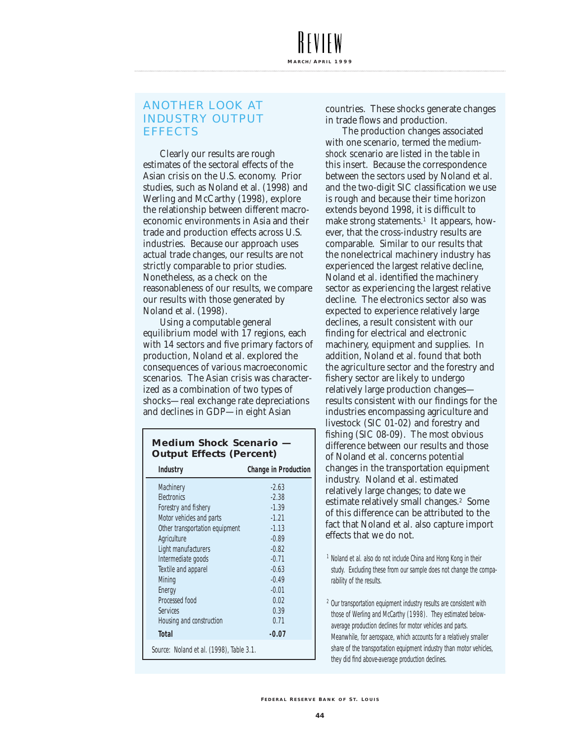#### ANOTHER LOOK AT INDUSTRY OUTPUT EFFECTS

Clearly our results are rough estimates of the sectoral effects of the Asian crisis on the U.S. economy. Prior studies, such as Noland et al. (1998) and Werling and McCarthy (1998), explore the relationship between different macroeconomic environments in Asia and their trade and production effects across U.S. industries. Because our approach uses actual trade changes, our results are not strictly comparable to prior studies. Nonetheless, as a check on the reasonableness of our results, we compare our results with those generated by Noland et al. (1998).

Using a computable general equilibrium model with 17 regions, each with 14 sectors and five primary factors of production, Noland et al. explored the consequences of various macroeconomic scenarios. The Asian crisis was characterized as a combination of two types of shocks—real exchange rate depreciations and declines in GDP—in eight Asian

#### **Medium Shock Scenario — Output Effects (Percent)**

| <b>Industry</b>                          | <b>Change in Production</b> |  |  |  |  |
|------------------------------------------|-----------------------------|--|--|--|--|
| Machinery                                | $-2.63$                     |  |  |  |  |
| <b>Flectronics</b>                       | $-2.38$                     |  |  |  |  |
| Forestry and fishery                     | $-1.39$                     |  |  |  |  |
| Motor vehicles and parts                 | $-1.21$                     |  |  |  |  |
| Other transportation equipment           | $-1.13$                     |  |  |  |  |
| Agriculture                              | $-0.89$                     |  |  |  |  |
| Light manufacturers                      | $-0.82$                     |  |  |  |  |
| Intermediate goods                       | $-0.71$                     |  |  |  |  |
| Textile and apparel                      | $-0.63$                     |  |  |  |  |
| Mining                                   | $-0.49$                     |  |  |  |  |
| Energy                                   | $-0.01$                     |  |  |  |  |
| <b>Processed food</b>                    | 0.02                        |  |  |  |  |
| Services                                 | 0.39                        |  |  |  |  |
| Housing and construction                 | 0.71                        |  |  |  |  |
| <b>Total</b>                             | $-0.07$                     |  |  |  |  |
| Source: Noland et al. (1998), Table 3.1. |                             |  |  |  |  |

countries. These shocks generate changes in trade flows and production.

The production changes associated with one scenario, termed the *mediumshock* scenario are listed in the table in this insert. Because the correspondence between the sectors used by Noland et al. and the two-digit SIC classification we use is rough and because their time horizon extends beyond 1998, it is difficult to make strong statements.<sup>1</sup> It appears, however, that the cross-industry results are comparable. Similar to our results that the nonelectrical machinery industry has experienced the largest relative decline, Noland et al. identified the machinery sector as experiencing the largest relative decline. The electronics sector also was expected to experience relatively large declines, a result consistent with our finding for electrical and electronic machinery, equipment and supplies. In addition, Noland et al. found that both the agriculture sector and the forestry and fishery sector are likely to undergo relatively large production changes results consistent with our findings for the industries encompassing agriculture and livestock (SIC 01-02) and forestry and fishing (SIC 08-09). The most obvious difference between our results and those of Noland et al. concerns potential changes in the transportation equipment industry. Noland et al. estimated relatively large changes; to date we estimate relatively small changes.2 Some of this difference can be attributed to the fact that Noland et al. also capture import effects that we do not.

- <sup>1</sup> Noland et al. also do not include China and Hong Kong in their study. Excluding these from our sample does not change the comparability of the results.
- <sup>2</sup> Our transportation equipment industry results are consistent with those of Werling and McCarthy (1998). They estimated belowaverage production declines for motor vehicles and parts. Meanwhile, for aerospace, which accounts for a relatively smaller share of the transportation equipment industry than motor vehicles, they did find above-average production declines.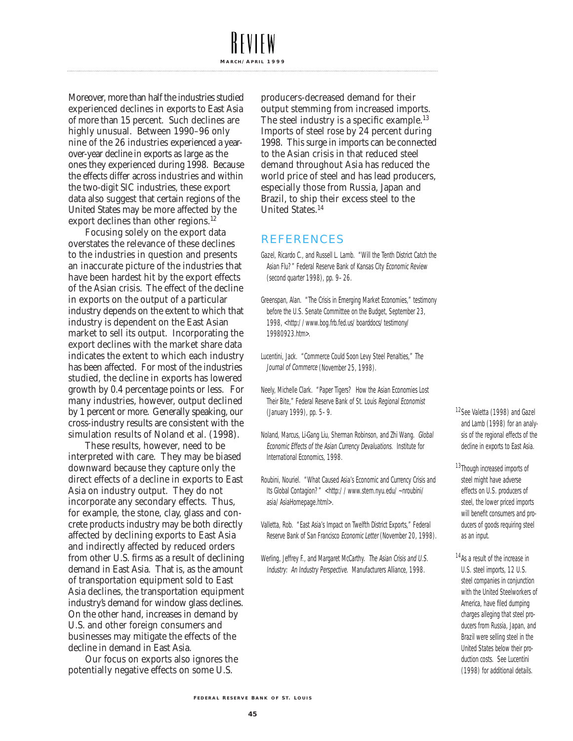Moreover, more than half the industries studied experienced declines in exports to East Asia of more than 15 percent. Such declines are highly unusual. Between 1990–96 only nine of the 26 industries experienced a yearover-year decline in exports as large as the ones they experienced during 1998. Because the effects differ across industries and within the two-digit SIC industries, these export data also suggest that certain regions of the United States may be more affected by the export declines than other regions. 12

Focusing solely on the export data overstates the relevance of these declines to the industries in question and presents an inaccurate picture of the industries that have been hardest hit by the export effects of the Asian crisis. The effect of the decline in exports on the output of a particular industry depends on the extent to which that industry is dependent on the East Asian market to sell its output. Incorporating the export declines with the market share data indicates the extent to which each industry has been affected. For most of the industries studied, the decline in exports has lowered growth by 0.4 percentage points or less. For many industries, however, output declined by 1 percent or more. Generally speaking, our cross-industry results are consistent with the simulation results of Noland et al. (1998).

These results, however, need to be interpreted with care. They may be biased downward because they capture only the direct effects of a decline in exports to East Asia on industry output. They do not incorporate any secondary effects. Thus, for example, the stone, clay, glass and concrete products industry may be both directly affected by declining exports to East Asia and indirectly affected by reduced orders from other U.S. firms as a result of declining demand in East Asia. That is, as the amount of transportation equipment sold to East Asia declines, the transportation equipment industry's demand for window glass declines. On the other hand, increases in demand by U.S. and other foreign consumers and businesses may mitigate the effects of the decline in demand in East Asia.

Our focus on exports also ignores the potentially negative effects on some U.S.

producers-decreased demand for their output stemming from increased imports. The steel industry is a specific example.<sup>13</sup> Imports of steel rose by 24 percent during 1998. This surge in imports can be connected to the Asian crisis in that reduced steel demand throughout Asia has reduced the world price of steel and has lead producers, especially those from Russia, Japan and Brazil, to ship their excess steel to the United States.14

#### REFERENCES

**MARCH / A PRIL 1999**

- Gazel, Ricardo C., and Russell L. Lamb. "Will the Tenth District Catch the Asian Flu?" Federal Reserve Bank of Kansas City Economic Review (second quarter 1998), pp. 9–26.
- Greenspan, Alan. "The Crisis in Emerging Market Economies," testimony before the U.S. Senate Committee on the Budget, September 23, 1998, <http://www.bog.frb.fed.us/boarddocs/testimony/ 19980923.htm>.
- Lucentini, Jack. "Commerce Could Soon Levy Steel Penalties," The Journal of Commerce (November 25, 1998).
- Neely, Michelle Clark. "Paper Tigers? How the Asian Economies Lost Their Bite," Federal Reserve Bank of St. Louis Regional Economist (January 1999), pp. 5–9.
- Noland, Marcus, Li-Gang Liu, Sherman Robinson, and Zhi Wang. Global Economic Effects of the Asian Currency Devaluations. Institute for International Economics, 1998.
- Roubini, Nouriel. "What Caused Asia's Economic and Currency Crisis and Its Global Contagion?" <http://www.stern.nyu.edu/~nroubini/ asia/AsiaHomepage.html>.
- Valletta, Rob. "East Asia's Impact on Twelfth District Exports," Federal Reserve Bank of San Francisco Economic Letter (November 20, 1998).
- Werling, Jeffrey F., and Margaret McCarthy. The Asian Crisis and U.S. Industry: An Industry Perspective. Manufacturers Alliance, 1998.

12See Valetta (1998) and Gazel and Lamb (1998) for an analysis of the regional effects of the decline in exports to East Asia.

- 13Though increased imports of steel might have adverse effects on U.S. producers of steel, the lower priced imports will benefit consumers and producers of goods requiring steel as an input.
- 14As a result of the increase in U.S. steel imports, 12 U.S. steel companies in conjunction with the United Steelworkers of America, have filed dumping charges alleging that steel producers from Russia, Japan, and Brazil were selling steel in the United States below their production costs. See Lucentini (1998) for additional details.